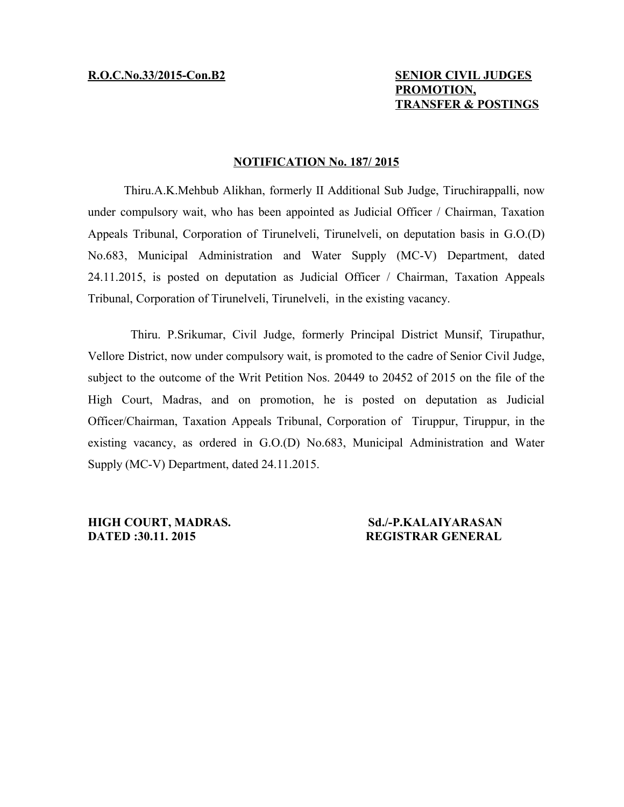# **R.O.C.No.33/2015-Con.B2 SENIOR CIVIL JUDGES PROMOTION, TRANSFER & POSTINGS**

## **NOTIFICATION No. 187/ 2015**

Thiru.A.K.Mehbub Alikhan, formerly II Additional Sub Judge, Tiruchirappalli, now under compulsory wait, who has been appointed as Judicial Officer / Chairman, Taxation Appeals Tribunal, Corporation of Tirunelveli, Tirunelveli, on deputation basis in G.O.(D) No.683, Municipal Administration and Water Supply (MC-V) Department, dated 24.11.2015, is posted on deputation as Judicial Officer / Chairman, Taxation Appeals Tribunal, Corporation of Tirunelveli, Tirunelveli, in the existing vacancy.

Thiru. P.Srikumar, Civil Judge, formerly Principal District Munsif, Tirupathur, Vellore District, now under compulsory wait, is promoted to the cadre of Senior Civil Judge, subject to the outcome of the Writ Petition Nos. 20449 to 20452 of 2015 on the file of the High Court, Madras, and on promotion, he is posted on deputation as Judicial Officer/Chairman, Taxation Appeals Tribunal, Corporation of Tiruppur, Tiruppur, in the existing vacancy, as ordered in G.O.(D) No.683, Municipal Administration and Water Supply (MC-V) Department, dated 24.11.2015.

**HIGH COURT, MADRAS.** Sd./-P.KALAIYARASAN **DATED :30.11. 2015 REGISTRAR GENERAL**